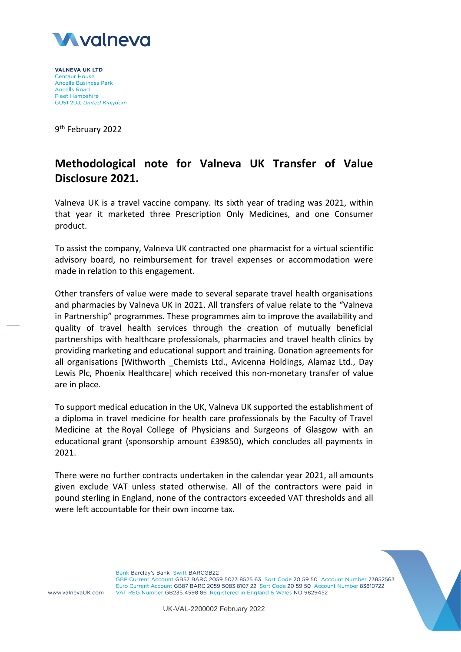

**VALNEVA UK LTD Centaur House Ancells Business Park Ancells Road Fleet Hampshire** GU51 2UJ, United Kingdom

9<sup>th</sup> February 2022

## **Methodological note for Valneva UK Transfer of Value Disclosure 2021.**

Valneva UK is a travel vaccine company. Its sixth year of trading was 2021, within that year it marketed three Prescription Only Medicines, and one Consumer product.

To assist the company, Valneva UK contracted one pharmacist for a virtual scientific advisory board, no reimbursement for travel expenses or accommodation were made in relation to this engagement.

Other transfers of value were made to several separate travel health organisations and pharmacies by Valneva UK in 2021. All transfers of value relate to the "Valneva in Partnership" programmes. These programmes aim to improve the availability and quality of travel health services through the creation of mutually beneficial partnerships with healthcare professionals, pharmacies and travel health clinics by providing marketing and educational support and training. Donation agreements for all organisations [Withworth Chemists Ltd., Avicenna Holdings, Alamaz Ltd., Day Lewis Plc, Phoenix Healthcare] which received this non-monetary transfer of value are in place.

To support medical education in the UK, Valneva UK supported the establishment of a diploma in travel medicine for health care professionals by the Faculty of Travel Medicine at the [Royal College of Physicians and Surgeons of Glasgow](https://www.facebook.com/RCPSGlasgow/) with an educational grant (sponsorship amount £39850), which concludes all payments in 2021.

There were no further contracts undertaken in the calendar year 2021, all amounts given exclude VAT unless stated otherwise. All of the contractors were paid in pound sterling in England, none of the contractors exceeded VAT thresholds and all were left accountable for their own income tax.



www.valnevaUK.com

Bank Barclay's Bank Swift BARCGB22 GBP Current Account GB57 BARC 2059 5073 8525 63 Sort Code 20 59 50 Account Number 73852563 Euro Current Account GB87 BARC 2059 5083 8107 22 Sort Code 20 59 50 Account Number 83810722 VAT REG Number GB235 4598 86 Registered in England & Wales NO 9829452